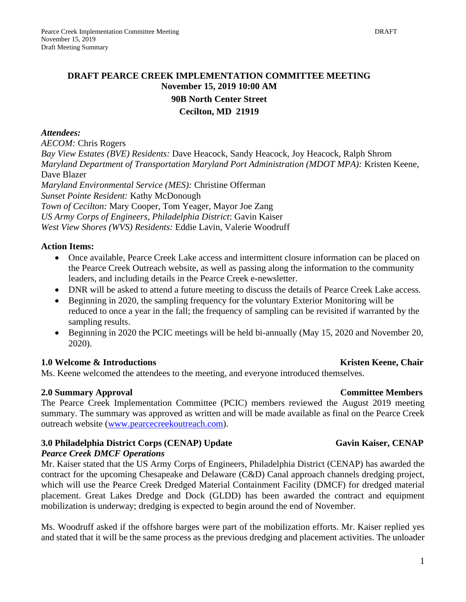# **DRAFT PEARCE CREEK IMPLEMENTATION COMMITTEE MEETING November 15, 2019 10:00 AM**

# **90B North Center Street Cecilton, MD 21919**

#### *Attendees:*

*AECOM:* Chris Rogers

*Bay View Estates (BVE) Residents:* Dave Heacock, Sandy Heacock, Joy Heacock, Ralph Shrom *Maryland Department of Transportation Maryland Port Administration (MDOT MPA):* Kristen Keene, Dave Blazer *Maryland Environmental Service (MES):* Christine Offerman *Sunset Pointe Resident:* Kathy McDonough *Town of Cecilton:* Mary Cooper, Tom Yeager, Mayor Joe Zang *US Army Corps of Engineers, Philadelphia District*: Gavin Kaiser *West View Shores (WVS) Residents:* Eddie Lavin, Valerie Woodruff

### **Action Items:**

- Once available, Pearce Creek Lake access and intermittent closure information can be placed on the Pearce Creek Outreach website, as well as passing along the information to the community leaders, and including details in the Pearce Creek e-newsletter.
- DNR will be asked to attend a future meeting to discuss the details of Pearce Creek Lake access.
- Beginning in 2020, the sampling frequency for the voluntary Exterior Monitoring will be reduced to once a year in the fall; the frequency of sampling can be revisited if warranted by the sampling results.
- Beginning in 2020 the PCIC meetings will be held bi-annually (May 15, 2020 and November 20, 2020).

### **1.0** Welcome & Introductions **Kristen Keene, Chair Kristen Keene**, Chair

Ms. Keene welcomed the attendees to the meeting, and everyone introduced themselves.

# **2.0 Summary Approval Committee Members**

The Pearce Creek Implementation Committee (PCIC) members reviewed the August 2019 meeting summary. The summary was approved as written and will be made available as final on the Pearce Creek outreach website [\(www.pearcecreekoutreach.com\)](http://www.pearcecreekoutreach.com/).

# **3.0 Philadelphia District Corps (CENAP) Update Gavin Kaiser, CENAP**

### *Pearce Creek DMCF Operations*

Mr. Kaiser stated that the US Army Corps of Engineers, Philadelphia District (CENAP) has awarded the contract for the upcoming Chesapeake and Delaware (C&D) Canal approach channels dredging project, which will use the Pearce Creek Dredged Material Containment Facility (DMCF) for dredged material placement. Great Lakes Dredge and Dock (GLDD) has been awarded the contract and equipment mobilization is underway; dredging is expected to begin around the end of November.

Ms. Woodruff asked if the offshore barges were part of the mobilization efforts. Mr. Kaiser replied yes and stated that it will be the same process as the previous dredging and placement activities. The unloader

### 1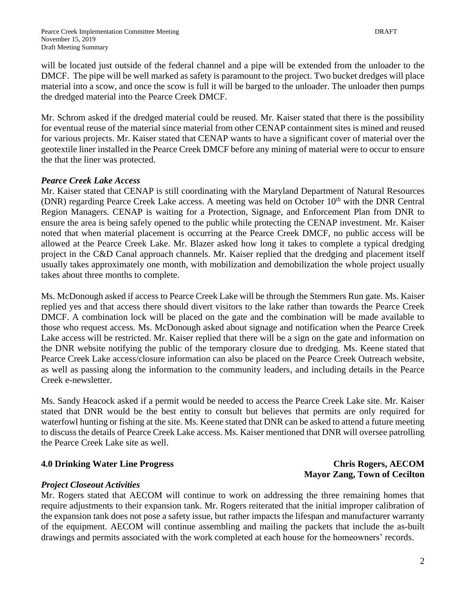will be located just outside of the federal channel and a pipe will be extended from the unloader to the DMCF. The pipe will be well marked as safety is paramount to the project. Two bucket dredges will place material into a scow, and once the scow is full it will be barged to the unloader. The unloader then pumps the dredged material into the Pearce Creek DMCF.

Mr. Schrom asked if the dredged material could be reused. Mr. Kaiser stated that there is the possibility for eventual reuse of the material since material from other CENAP containment sites is mined and reused for various projects. Mr. Kaiser stated that CENAP wants to have a significant cover of material over the geotextile liner installed in the Pearce Creek DMCF before any mining of material were to occur to ensure the that the liner was protected.

# *Pearce Creek Lake Access*

Mr. Kaiser stated that CENAP is still coordinating with the Maryland Department of Natural Resources (DNR) regarding Pearce Creek Lake access. A meeting was held on October 10<sup>th</sup> with the DNR Central Region Managers. CENAP is waiting for a Protection, Signage, and Enforcement Plan from DNR to ensure the area is being safely opened to the public while protecting the CENAP investment. Mr. Kaiser noted that when material placement is occurring at the Pearce Creek DMCF, no public access will be allowed at the Pearce Creek Lake. Mr. Blazer asked how long it takes to complete a typical dredging project in the C&D Canal approach channels. Mr. Kaiser replied that the dredging and placement itself usually takes approximately one month, with mobilization and demobilization the whole project usually takes about three months to complete.

Ms. McDonough asked if access to Pearce Creek Lake will be through the Stemmers Run gate. Ms. Kaiser replied yes and that access there should divert visitors to the lake rather than towards the Pearce Creek DMCF. A combination lock will be placed on the gate and the combination will be made available to those who request access. Ms. McDonough asked about signage and notification when the Pearce Creek Lake access will be restricted. Mr. Kaiser replied that there will be a sign on the gate and information on the DNR website notifying the public of the temporary closure due to dredging. Ms. Keene stated that Pearce Creek Lake access/closure information can also be placed on the Pearce Creek Outreach website, as well as passing along the information to the community leaders, and including details in the Pearce Creek e-newsletter.

Ms. Sandy Heacock asked if a permit would be needed to access the Pearce Creek Lake site. Mr. Kaiser stated that DNR would be the best entity to consult but believes that permits are only required for waterfowl hunting or fishing at the site. Ms. Keene stated that DNR can be asked to attend a future meeting to discuss the details of Pearce Creek Lake access. Ms. Kaiser mentioned that DNR will oversee patrolling the Pearce Creek Lake site as well.

# **4.0 Drinking Water Line Progress Chris Rogers, AECOM**

### *Project Closeout Activities*

Mr. Rogers stated that AECOM will continue to work on addressing the three remaining homes that require adjustments to their expansion tank. Mr. Rogers reiterated that the initial improper calibration of the expansion tank does not pose a safety issue, but rather impacts the lifespan and manufacturer warranty of the equipment. AECOM will continue assembling and mailing the packets that include the as-built drawings and permits associated with the work completed at each house for the homeowners' records.

# **Mayor Zang, Town of Cecilton**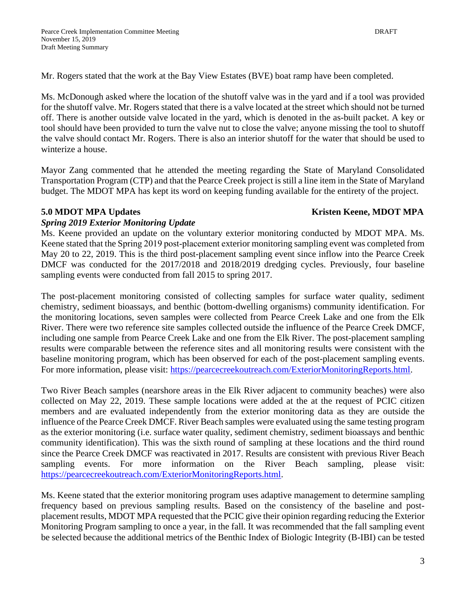Mr. Rogers stated that the work at the Bay View Estates (BVE) boat ramp have been completed.

Ms. McDonough asked where the location of the shutoff valve was in the yard and if a tool was provided for the shutoff valve. Mr. Rogers stated that there is a valve located at the street which should not be turned off. There is another outside valve located in the yard, which is denoted in the as-built packet. A key or tool should have been provided to turn the valve nut to close the valve; anyone missing the tool to shutoff the valve should contact Mr. Rogers. There is also an interior shutoff for the water that should be used to winterize a house.

Mayor Zang commented that he attended the meeting regarding the State of Maryland Consolidated Transportation Program (CTP) and that the Pearce Creek project is still a line item in the State of Maryland budget. The MDOT MPA has kept its word on keeping funding available for the entirety of the project.

### **5.0** MDOT MPA Updates **Kristen Keene, MDOT MPA**

### *Spring 2019 Exterior Monitoring Update*

Ms. Keene provided an update on the voluntary exterior monitoring conducted by MDOT MPA. Ms. Keene stated that the Spring 2019 post-placement exterior monitoring sampling event was completed from May 20 to 22, 2019. This is the third post-placement sampling event since inflow into the Pearce Creek DMCF was conducted for the 2017/2018 and 2018/2019 dredging cycles. Previously, four baseline sampling events were conducted from fall 2015 to spring 2017.

The post-placement monitoring consisted of collecting samples for surface water quality, sediment chemistry, sediment bioassays, and benthic (bottom-dwelling organisms) community identification. For the monitoring locations, seven samples were collected from Pearce Creek Lake and one from the Elk River. There were two reference site samples collected outside the influence of the Pearce Creek DMCF, including one sample from Pearce Creek Lake and one from the Elk River. The post-placement sampling results were comparable between the reference sites and all monitoring results were consistent with the baseline monitoring program, which has been observed for each of the post-placement sampling events. For more information, please visit: [https://pearcecreekoutreach.com/ExteriorMonitoringReports.html.](https://pearcecreekoutreach.com/ExteriorMonitoringReports.html)

Two River Beach samples (nearshore areas in the Elk River adjacent to community beaches) were also collected on May 22, 2019. These sample locations were added at the at the request of PCIC citizen members and are evaluated independently from the exterior monitoring data as they are outside the influence of the Pearce Creek DMCF. River Beach samples were evaluated using the same testing program as the exterior monitoring (i.e. surface water quality, sediment chemistry, sediment bioassays and benthic community identification). This was the sixth round of sampling at these locations and the third round since the Pearce Creek DMCF was reactivated in 2017. Results are consistent with previous River Beach sampling events. For more information on the River Beach sampling, please visit: [https://pearcecreekoutreach.com/ExteriorMonitoringReports.html.](https://pearcecreekoutreach.com/ExteriorMonitoringReports.html)

Ms. Keene stated that the exterior monitoring program uses adaptive management to determine sampling frequency based on previous sampling results. Based on the consistency of the baseline and postplacement results, MDOT MPA requested that the PCIC give their opinion regarding reducing the Exterior Monitoring Program sampling to once a year, in the fall. It was recommended that the fall sampling event be selected because the additional metrics of the Benthic Index of Biologic Integrity (B-IBI) can be tested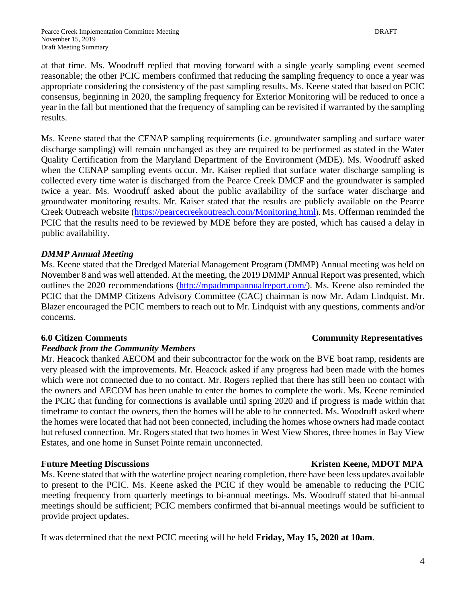at that time. Ms. Woodruff replied that moving forward with a single yearly sampling event seemed reasonable; the other PCIC members confirmed that reducing the sampling frequency to once a year was appropriate considering the consistency of the past sampling results. Ms. Keene stated that based on PCIC consensus, beginning in 2020, the sampling frequency for Exterior Monitoring will be reduced to once a year in the fall but mentioned that the frequency of sampling can be revisited if warranted by the sampling results.

Ms. Keene stated that the CENAP sampling requirements (i.e. groundwater sampling and surface water discharge sampling) will remain unchanged as they are required to be performed as stated in the Water Quality Certification from the Maryland Department of the Environment (MDE). Ms. Woodruff asked when the CENAP sampling events occur. Mr. Kaiser replied that surface water discharge sampling is collected every time water is discharged from the Pearce Creek DMCF and the groundwater is sampled twice a year. Ms. Woodruff asked about the public availability of the surface water discharge and groundwater monitoring results. Mr. Kaiser stated that the results are publicly available on the Pearce Creek Outreach website [\(https://pearcecreekoutreach.com/Monitoring.html](https://pearcecreekoutreach.com/Monitoring.html)). Ms. Offerman reminded the PCIC that the results need to be reviewed by MDE before they are posted, which has caused a delay in public availability.

# *DMMP Annual Meeting*

Ms. Keene stated that the Dredged Material Management Program (DMMP) Annual meeting was held on November 8 and was well attended. At the meeting, the 2019 DMMP Annual Report was presented, which outlines the 2020 recommendations [\(http://mpadmmpannualreport.com/\)](http://mpadmmpannualreport.com/). Ms. Keene also reminded the PCIC that the DMMP Citizens Advisory Committee (CAC) chairman is now Mr. Adam Lindquist. Mr. Blazer encouraged the PCIC members to reach out to Mr. Lindquist with any questions, comments and/or concerns.

# *Feedback from the Community Members*

Mr. Heacock thanked AECOM and their subcontractor for the work on the BVE boat ramp, residents are very pleased with the improvements. Mr. Heacock asked if any progress had been made with the homes which were not connected due to no contact. Mr. Rogers replied that there has still been no contact with the owners and AECOM has been unable to enter the homes to complete the work. Ms. Keene reminded the PCIC that funding for connections is available until spring 2020 and if progress is made within that timeframe to contact the owners, then the homes will be able to be connected. Ms. Woodruff asked where the homes were located that had not been connected, including the homes whose owners had made contact but refused connection. Mr. Rogers stated that two homes in West View Shores, three homes in Bay View Estates, and one home in Sunset Pointe remain unconnected.

Ms. Keene stated that with the waterline project nearing completion, there have been less updates available to present to the PCIC. Ms. Keene asked the PCIC if they would be amenable to reducing the PCIC meeting frequency from quarterly meetings to bi-annual meetings. Ms. Woodruff stated that bi-annual meetings should be sufficient; PCIC members confirmed that bi-annual meetings would be sufficient to provide project updates.

It was determined that the next PCIC meeting will be held **Friday, May 15, 2020 at 10am**.

# **6.0 Citizen Comments Community Representatives**

# **Future Meeting Discussions Kristen Keene, MDOT MPA**